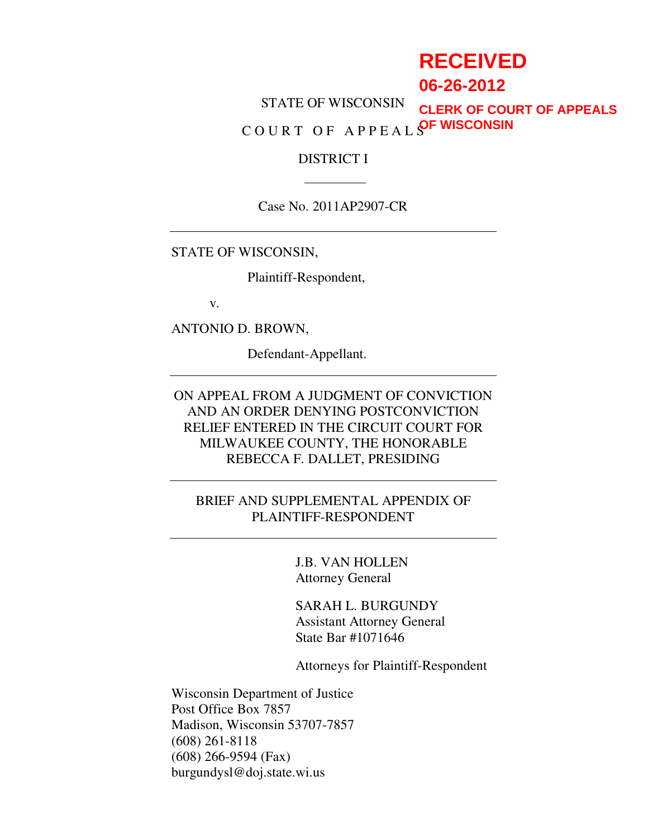# **RECEIVED**

**06-26-2012**

STATE OF WISCONSIN COURT OF APPEAL SOF WISCONSIN **CLERK OF COURT OF APPEALS**

### DISTRICT I

Case No. 2011AP2907-CR

STATE OF WISCONSIN,

Plaintiff-Respondent,

v.

ANTONIO D. BROWN,

Defendant-Appellant.

ON APPEAL FROM A JUDGMENT OF CONVICTION AND AN ORDER DENYING POSTCONVICTION RELIEF ENTERED IN THE CIRCUIT COURT FOR MILWAUKEE COUNTY, THE HONORABLE REBECCA F. DALLET, PRESIDING

BRIEF AND SUPPLEMENTAL APPENDIX OF PLAINTIFF-RESPONDENT

> J.B. VAN HOLLEN Attorney General

 SARAH L. BURGUNDY Assistant Attorney General State Bar #1071646

Attorneys for Plaintiff-Respondent

Wisconsin Department of Justice Post Office Box 7857 Madison, Wisconsin 53707-7857 (608) 261-8118 (608) 266-9594 (Fax) burgundysl@doj.state.wi.us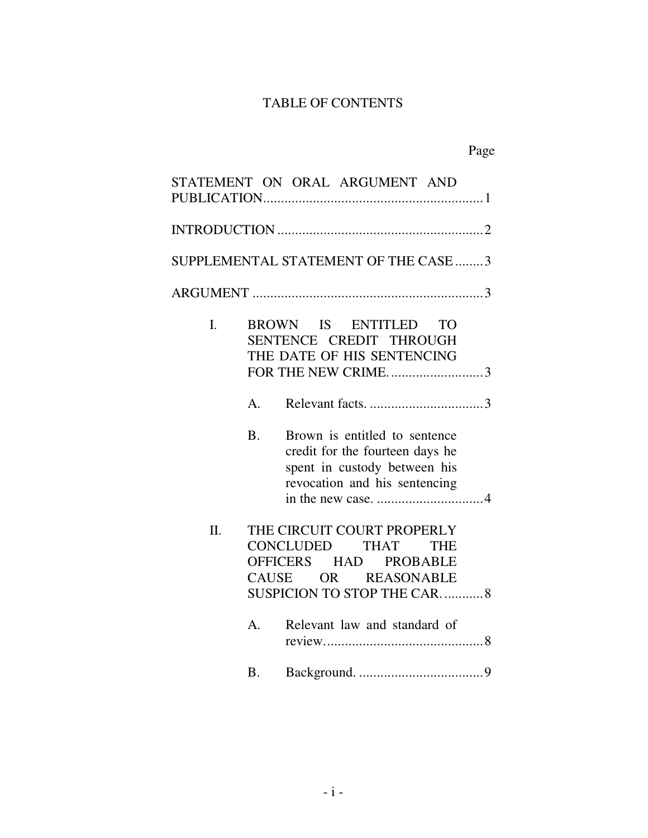## TABLE OF CONTENTS

|         |           | STATEMENT ON ORAL ARGUMENT AND                                                                                                               |
|---------|-----------|----------------------------------------------------------------------------------------------------------------------------------------------|
|         |           |                                                                                                                                              |
|         |           | SUPPLEMENTAL STATEMENT OF THE CASE  3                                                                                                        |
|         |           |                                                                                                                                              |
| L.      |           | BROWN IS ENTITLED<br><b>TO</b><br>SENTENCE CREDIT THROUGH<br>THE DATE OF HIS SENTENCING<br>FOR THE NEW CRIME3                                |
|         | A.        |                                                                                                                                              |
|         | <b>B.</b> | Brown is entitled to sentence<br>credit for the fourteen days he<br>spent in custody between his<br>revocation and his sentencing            |
| $\Pi$ . | CAUSE     | THE CIRCUIT COURT PROPERLY<br>CONCLUDED THAT<br><b>THE</b><br>OFFICERS HAD PROBABLE<br>OR REASONABLE<br><b>SUSPICION TO STOP THE CAR.  8</b> |
|         | A.        | Relevant law and standard of                                                                                                                 |
|         | <b>B.</b> |                                                                                                                                              |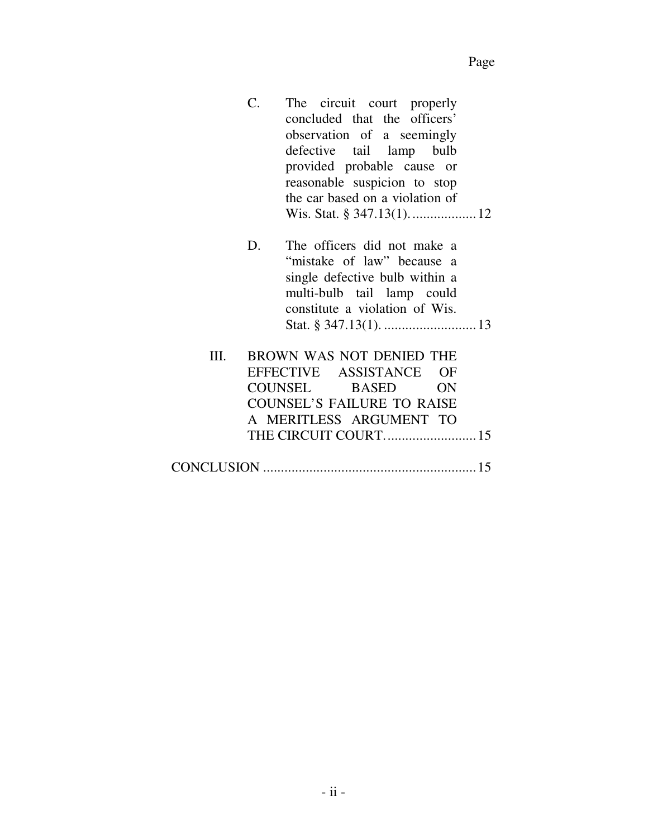| The circuit court properly                                                                                      |  |  |  |  |  |
|-----------------------------------------------------------------------------------------------------------------|--|--|--|--|--|
| concluded that the officers'                                                                                    |  |  |  |  |  |
| observation of a seemingly                                                                                      |  |  |  |  |  |
| defective tail lamp bulb                                                                                        |  |  |  |  |  |
| provided probable cause or                                                                                      |  |  |  |  |  |
| reasonable suspicion to stop                                                                                    |  |  |  |  |  |
| the car based on a violation of                                                                                 |  |  |  |  |  |
|                                                                                                                 |  |  |  |  |  |
|                                                                                                                 |  |  |  |  |  |
| the contract of the contract of the contract of the contract of the contract of the contract of the contract of |  |  |  |  |  |

- D. The officers did not make a "mistake of law" because a single defective bulb within a multi-bulb tail lamp could constitute a violation of Wis. Stat. § 347.13(1). .......................... 13
- III. BROWN WAS NOT DENIED THE EFFECTIVE ASSISTANCE OF COUNSEL BASED ON COUNSEL'S FAILURE TO RAISE A MERITLESS ARGUMENT TO THE CIRCUIT COURT. ......................... 15
- CONCLUSION ............................................................ 15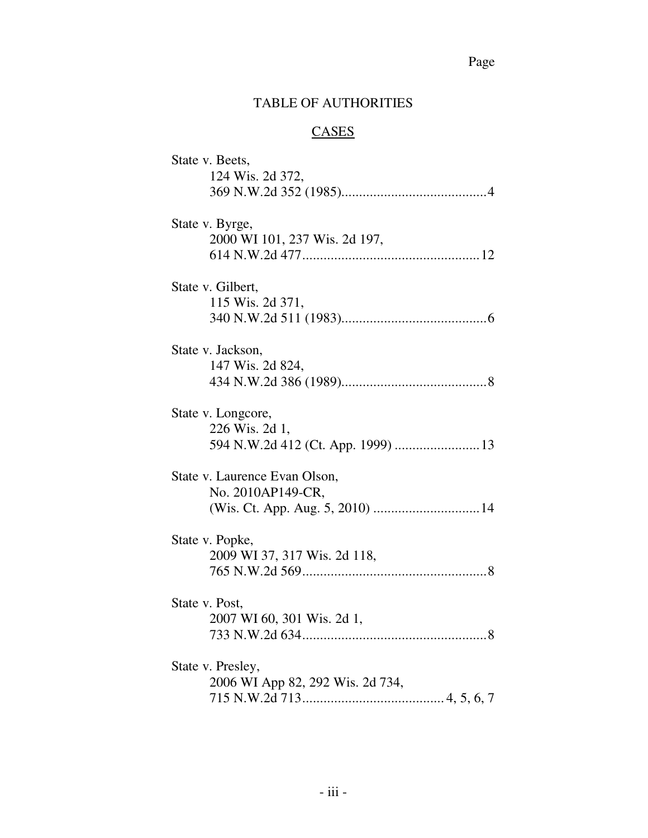## Page

## TABLE OF AUTHORITIES

## **CASES**

| State v. Beets,                    |
|------------------------------------|
| 124 Wis. 2d 372,                   |
|                                    |
| State v. Byrge,                    |
| 2000 WI 101, 237 Wis. 2d 197,      |
|                                    |
| State v. Gilbert,                  |
| 115 Wis. 2d 371,                   |
|                                    |
| State v. Jackson,                  |
| 147 Wis. 2d 824,                   |
|                                    |
| State v. Longcore,                 |
| 226 Wis. 2d 1,                     |
| 594 N.W.2d 412 (Ct. App. 1999)  13 |
| State v. Laurence Evan Olson,      |
| No. 2010AP149-CR,                  |
|                                    |
| State v. Popke,                    |
| 2009 WI 37, 317 Wis. 2d 118,       |
|                                    |
| State v. Post,                     |
| 2007 WI 60, 301 Wis. 2d 1,         |
|                                    |
| State v. Presley,                  |
| 2006 WI App 82, 292 Wis. 2d 734,   |
|                                    |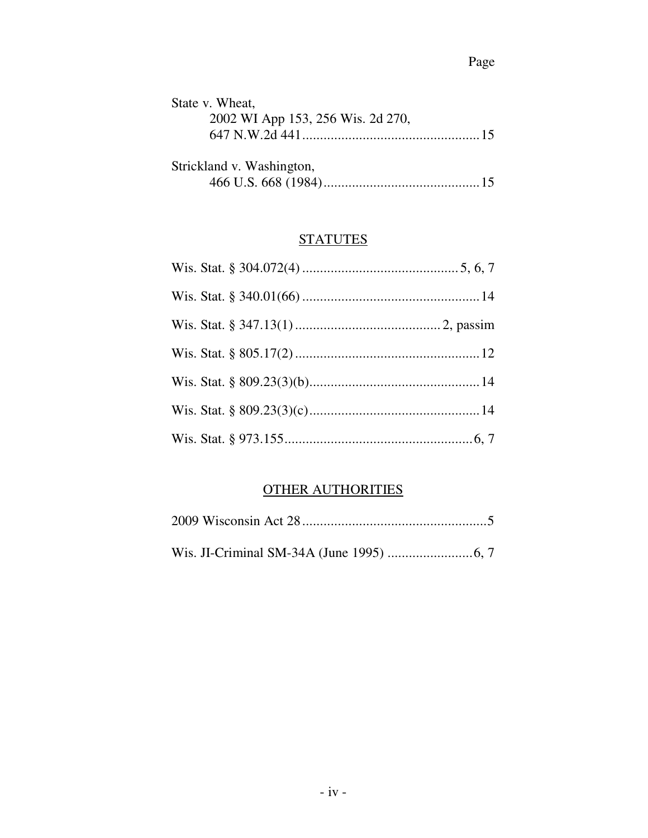| State v. Wheat,                   |  |
|-----------------------------------|--|
| 2002 WI App 153, 256 Wis. 2d 270, |  |
|                                   |  |
| Strickland v. Washington,         |  |
|                                   |  |

## **STATUTES**

## OTHER AUTHORITIES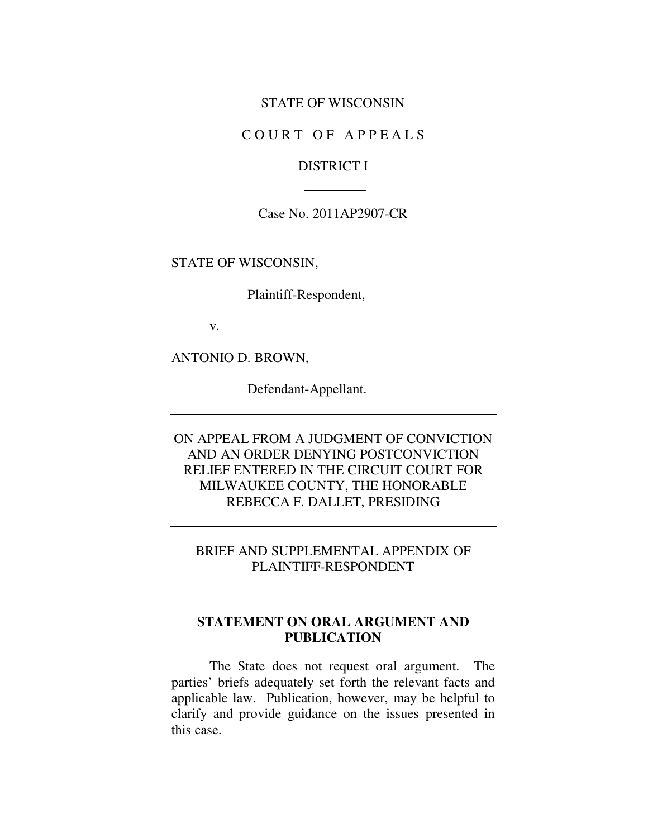#### STATE OF WISCONSIN

#### COURT OF APPEALS

#### DISTRICT I

#### Case No. 2011AP2907-CR

STATE OF WISCONSIN,

Plaintiff-Respondent,

v.

ANTONIO D. BROWN,

Defendant-Appellant.

ON APPEAL FROM A JUDGMENT OF CONVICTION AND AN ORDER DENYING POSTCONVICTION RELIEF ENTERED IN THE CIRCUIT COURT FOR MILWAUKEE COUNTY, THE HONORABLE REBECCA F. DALLET, PRESIDING

### BRIEF AND SUPPLEMENTAL APPENDIX OF PLAINTIFF-RESPONDENT

### **STATEMENT ON ORAL ARGUMENT AND PUBLICATION**

The State does not request oral argument. The parties' briefs adequately set forth the relevant facts and applicable law. Publication, however, may be helpful to clarify and provide guidance on the issues presented in this case.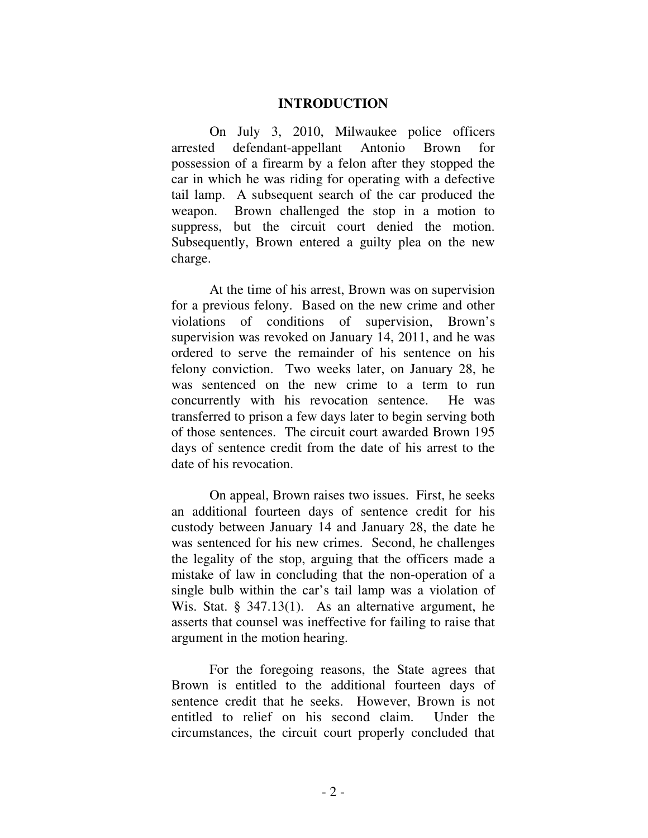#### **INTRODUCTION**

On July 3, 2010, Milwaukee police officers arrested defendant-appellant Antonio Brown for possession of a firearm by a felon after they stopped the car in which he was riding for operating with a defective tail lamp. A subsequent search of the car produced the weapon. Brown challenged the stop in a motion to suppress, but the circuit court denied the motion. Subsequently, Brown entered a guilty plea on the new charge.

At the time of his arrest, Brown was on supervision for a previous felony. Based on the new crime and other violations of conditions of supervision, Brown's supervision was revoked on January 14, 2011, and he was ordered to serve the remainder of his sentence on his felony conviction. Two weeks later, on January 28, he was sentenced on the new crime to a term to run concurrently with his revocation sentence. He was transferred to prison a few days later to begin serving both of those sentences. The circuit court awarded Brown 195 days of sentence credit from the date of his arrest to the date of his revocation.

On appeal, Brown raises two issues. First, he seeks an additional fourteen days of sentence credit for his custody between January 14 and January 28, the date he was sentenced for his new crimes. Second, he challenges the legality of the stop, arguing that the officers made a mistake of law in concluding that the non-operation of a single bulb within the car's tail lamp was a violation of Wis. Stat. § 347.13(1). As an alternative argument, he asserts that counsel was ineffective for failing to raise that argument in the motion hearing.

For the foregoing reasons, the State agrees that Brown is entitled to the additional fourteen days of sentence credit that he seeks. However, Brown is not entitled to relief on his second claim. Under the circumstances, the circuit court properly concluded that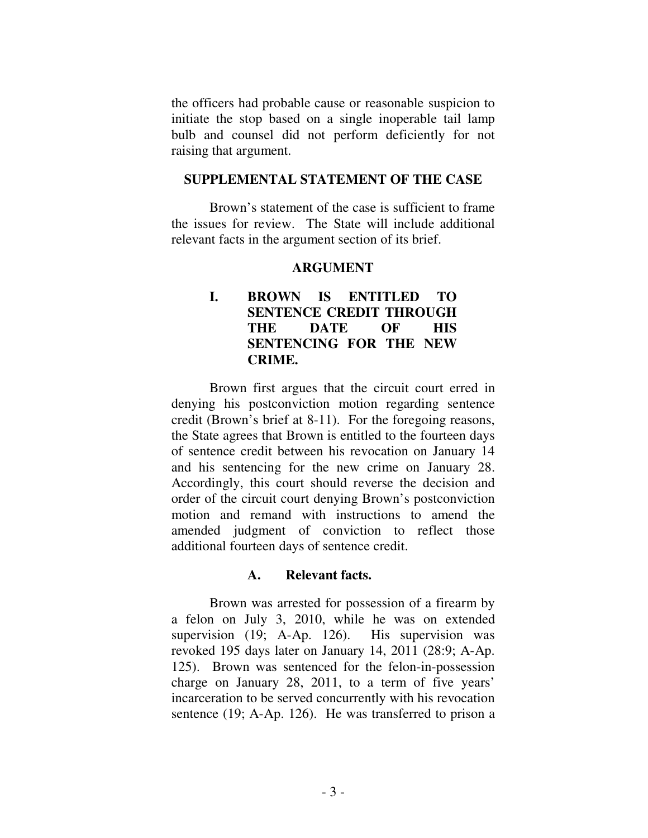the officers had probable cause or reasonable suspicion to initiate the stop based on a single inoperable tail lamp bulb and counsel did not perform deficiently for not raising that argument.

#### **SUPPLEMENTAL STATEMENT OF THE CASE**

 Brown's statement of the case is sufficient to frame the issues for review. The State will include additional relevant facts in the argument section of its brief.

#### **ARGUMENT**

## **I. BROWN IS ENTITLED TO SENTENCE CREDIT THROUGH THE DATE OF HIS SENTENCING FOR THE NEW CRIME.**

Brown first argues that the circuit court erred in denying his postconviction motion regarding sentence credit (Brown's brief at 8-11). For the foregoing reasons, the State agrees that Brown is entitled to the fourteen days of sentence credit between his revocation on January 14 and his sentencing for the new crime on January 28. Accordingly, this court should reverse the decision and order of the circuit court denying Brown's postconviction motion and remand with instructions to amend the amended judgment of conviction to reflect those additional fourteen days of sentence credit.

#### **A. Relevant facts.**

Brown was arrested for possession of a firearm by a felon on July 3, 2010, while he was on extended supervision (19; A-Ap. 126). His supervision was revoked 195 days later on January 14, 2011 (28:9; A-Ap. 125). Brown was sentenced for the felon-in-possession charge on January 28, 2011, to a term of five years' incarceration to be served concurrently with his revocation sentence (19; A-Ap. 126). He was transferred to prison a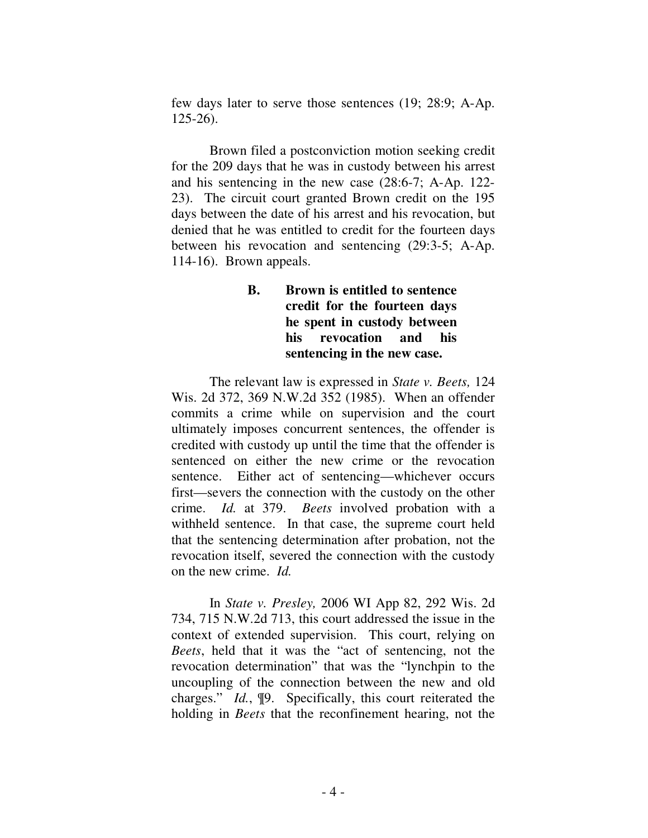few days later to serve those sentences (19; 28:9; A-Ap. 125-26).

Brown filed a postconviction motion seeking credit for the 209 days that he was in custody between his arrest and his sentencing in the new case (28:6-7; A-Ap. 122- 23). The circuit court granted Brown credit on the 195 days between the date of his arrest and his revocation, but denied that he was entitled to credit for the fourteen days between his revocation and sentencing (29:3-5; A-Ap. 114-16). Brown appeals.

## **B. Brown is entitled to sentence credit for the fourteen days he spent in custody between his revocation and his sentencing in the new case.**

 The relevant law is expressed in *State v. Beets,* 124 Wis. 2d 372, 369 N.W.2d 352 (1985). When an offender commits a crime while on supervision and the court ultimately imposes concurrent sentences, the offender is credited with custody up until the time that the offender is sentenced on either the new crime or the revocation sentence. Either act of sentencing—whichever occurs first—severs the connection with the custody on the other crime. *Id.* at 379. *Beets* involved probation with a withheld sentence. In that case, the supreme court held that the sentencing determination after probation, not the revocation itself, severed the connection with the custody on the new crime. *Id.*

 In *State v. Presley,* 2006 WI App 82, 292 Wis. 2d 734, 715 N.W.2d 713, this court addressed the issue in the context of extended supervision. This court, relying on *Beets*, held that it was the "act of sentencing, not the revocation determination" that was the "lynchpin to the uncoupling of the connection between the new and old charges." *Id.*, ¶9. Specifically, this court reiterated the holding in *Beets* that the reconfinement hearing, not the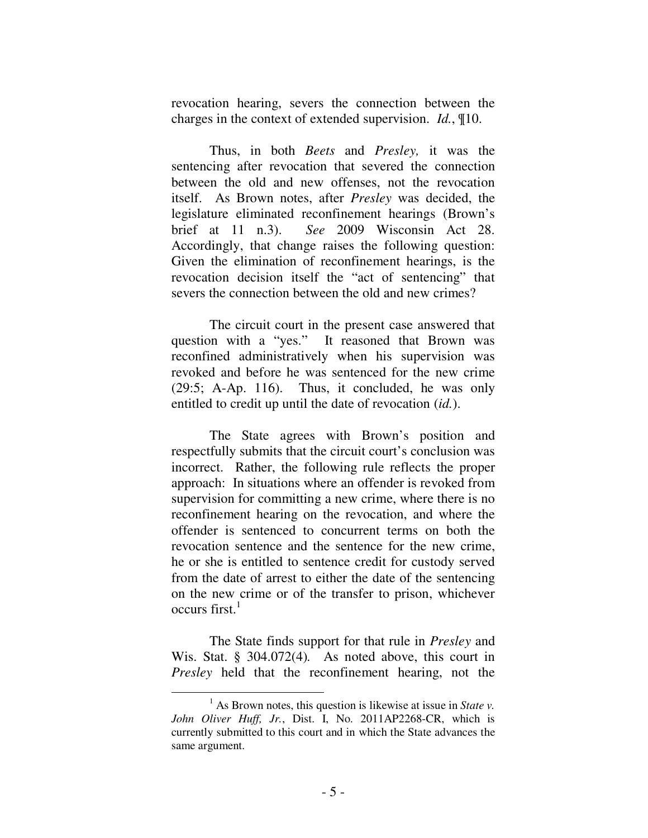revocation hearing, severs the connection between the charges in the context of extended supervision. *Id.*, ¶10.

 Thus, in both *Beets* and *Presley,* it was the sentencing after revocation that severed the connection between the old and new offenses, not the revocation itself. As Brown notes, after *Presley* was decided, the legislature eliminated reconfinement hearings (Brown's brief at 11 n.3). *See* 2009 Wisconsin Act 28. Accordingly, that change raises the following question: Given the elimination of reconfinement hearings, is the revocation decision itself the "act of sentencing" that severs the connection between the old and new crimes?

 The circuit court in the present case answered that question with a "yes." It reasoned that Brown was reconfined administratively when his supervision was revoked and before he was sentenced for the new crime (29:5; A-Ap. 116). Thus, it concluded, he was only entitled to credit up until the date of revocation (*id.*).

 The State agrees with Brown's position and respectfully submits that the circuit court's conclusion was incorrect. Rather, the following rule reflects the proper approach: In situations where an offender is revoked from supervision for committing a new crime, where there is no reconfinement hearing on the revocation, and where the offender is sentenced to concurrent terms on both the revocation sentence and the sentence for the new crime, he or she is entitled to sentence credit for custody served from the date of arrest to either the date of the sentencing on the new crime or of the transfer to prison, whichever occurs first.<sup>1</sup>

 The State finds support for that rule in *Presley* and Wis. Stat. § 304.072(4)*.* As noted above, this court in *Presley* held that the reconfinement hearing, not the

 $\overline{a}$ 

<sup>&</sup>lt;sup>1</sup> As Brown notes, this question is likewise at issue in *State v*. *John Oliver Huff, Jr.*, Dist. I, No. 2011AP2268-CR, which is currently submitted to this court and in which the State advances the same argument.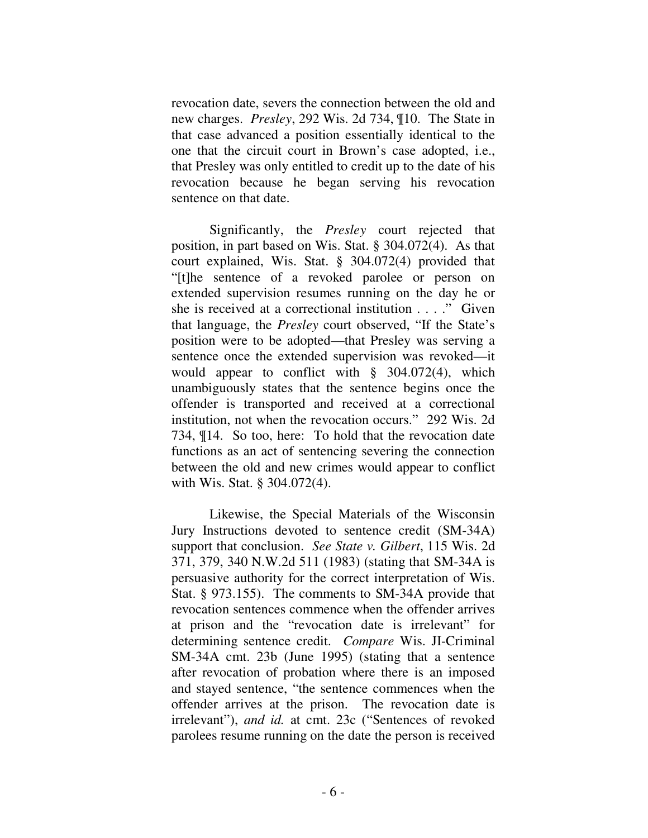revocation date, severs the connection between the old and new charges. *Presley*, 292 Wis. 2d 734, ¶10. The State in that case advanced a position essentially identical to the one that the circuit court in Brown's case adopted, i.e., that Presley was only entitled to credit up to the date of his revocation because he began serving his revocation sentence on that date.

 Significantly, the *Presley* court rejected that position, in part based on Wis. Stat. § 304.072(4). As that court explained, Wis. Stat. § 304.072(4) provided that "[t]he sentence of a revoked parolee or person on extended supervision resumes running on the day he or she is received at a correctional institution . . . ." Given that language, the *Presley* court observed, "If the State's position were to be adopted—that Presley was serving a sentence once the extended supervision was revoked—it would appear to conflict with § 304.072(4), which unambiguously states that the sentence begins once the offender is transported and received at a correctional institution, not when the revocation occurs." 292 Wis. 2d 734, ¶14. So too, here: To hold that the revocation date functions as an act of sentencing severing the connection between the old and new crimes would appear to conflict with Wis. Stat. § 304.072(4).

 Likewise, the Special Materials of the Wisconsin Jury Instructions devoted to sentence credit (SM-34A) support that conclusion. *See State v. Gilbert*, 115 Wis. 2d 371, 379, 340 N.W.2d 511 (1983) (stating that SM-34A is persuasive authority for the correct interpretation of Wis. Stat. § 973.155). The comments to SM-34A provide that revocation sentences commence when the offender arrives at prison and the "revocation date is irrelevant" for determining sentence credit. *Compare* Wis. JI-Criminal SM-34A cmt. 23b (June 1995) (stating that a sentence after revocation of probation where there is an imposed and stayed sentence, "the sentence commences when the offender arrives at the prison. The revocation date is irrelevant"), *and id.* at cmt. 23c ("Sentences of revoked parolees resume running on the date the person is received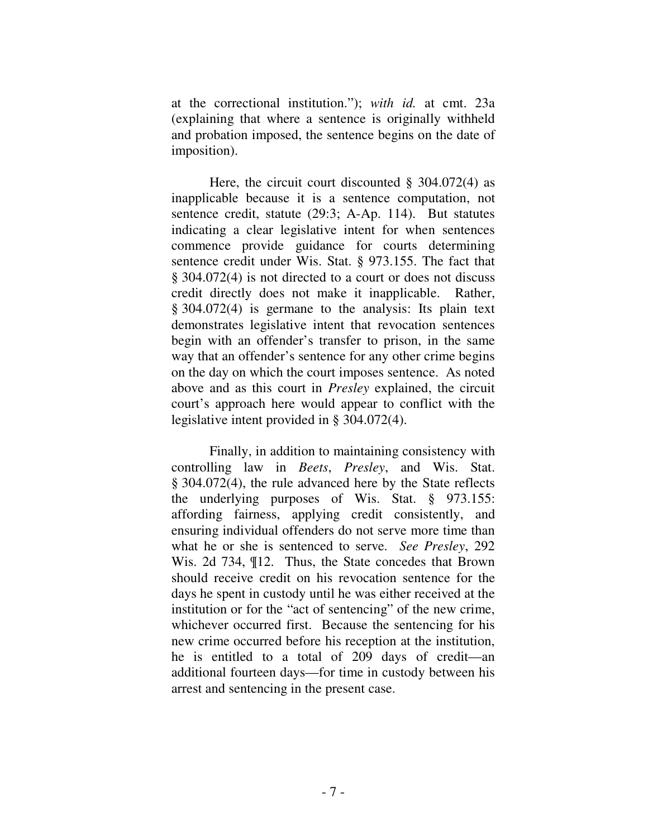at the correctional institution."); *with id.* at cmt. 23a (explaining that where a sentence is originally withheld and probation imposed, the sentence begins on the date of imposition).

 Here, the circuit court discounted § 304.072(4) as inapplicable because it is a sentence computation, not sentence credit, statute (29:3; A-Ap. 114). But statutes indicating a clear legislative intent for when sentences commence provide guidance for courts determining sentence credit under Wis. Stat. § 973.155. The fact that § 304.072(4) is not directed to a court or does not discuss credit directly does not make it inapplicable. Rather, § 304.072(4) is germane to the analysis: Its plain text demonstrates legislative intent that revocation sentences begin with an offender's transfer to prison, in the same way that an offender's sentence for any other crime begins on the day on which the court imposes sentence. As noted above and as this court in *Presley* explained, the circuit court's approach here would appear to conflict with the legislative intent provided in § 304.072(4).

 Finally, in addition to maintaining consistency with controlling law in *Beets*, *Presley*, and Wis. Stat. § 304.072(4), the rule advanced here by the State reflects the underlying purposes of Wis. Stat. § 973.155: affording fairness, applying credit consistently, and ensuring individual offenders do not serve more time than what he or she is sentenced to serve. *See Presley*, 292 Wis. 2d 734, ¶12. Thus, the State concedes that Brown should receive credit on his revocation sentence for the days he spent in custody until he was either received at the institution or for the "act of sentencing" of the new crime, whichever occurred first. Because the sentencing for his new crime occurred before his reception at the institution, he is entitled to a total of 209 days of credit—an additional fourteen days—for time in custody between his arrest and sentencing in the present case.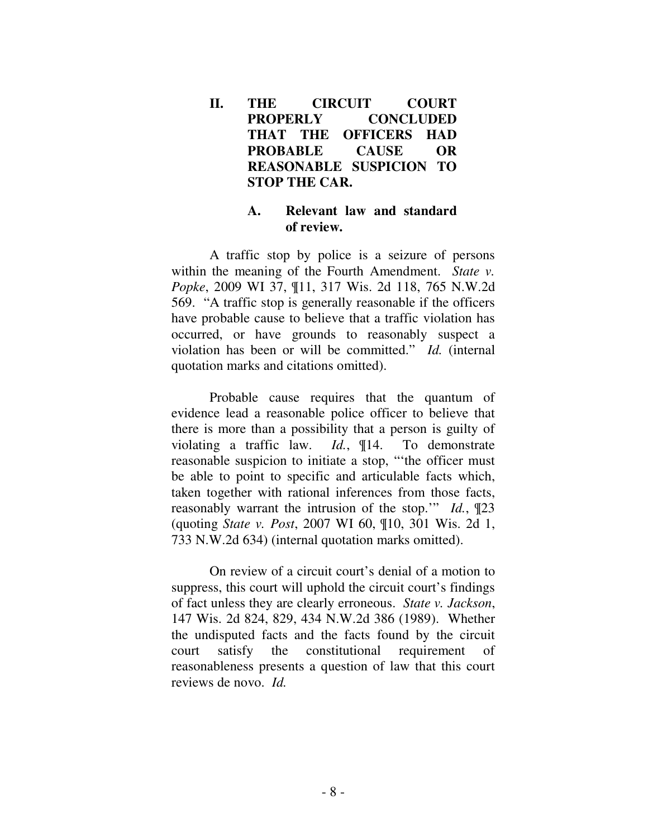**II. THE CIRCUIT COURT PROPERLY CONCLUDED THAT THE OFFICERS HAD PROBABLE CAUSE OR REASONABLE SUSPICION TO STOP THE CAR.** 

### **A. Relevant law and standard of review.**

 A traffic stop by police is a seizure of persons within the meaning of the Fourth Amendment. *State v. Popke*, 2009 WI 37, ¶11, 317 Wis. 2d 118, 765 N.W.2d 569. "A traffic stop is generally reasonable if the officers have probable cause to believe that a traffic violation has occurred, or have grounds to reasonably suspect a violation has been or will be committed." *Id.* (internal quotation marks and citations omitted).

 Probable cause requires that the quantum of evidence lead a reasonable police officer to believe that there is more than a possibility that a person is guilty of violating a traffic law. *Id.*, ¶14. To demonstrate reasonable suspicion to initiate a stop, "'the officer must be able to point to specific and articulable facts which, taken together with rational inferences from those facts, reasonably warrant the intrusion of the stop.'" *Id.*, ¶23 (quoting *State v. Post*, 2007 WI 60, ¶10, 301 Wis. 2d 1, 733 N.W.2d 634) (internal quotation marks omitted).

 On review of a circuit court's denial of a motion to suppress, this court will uphold the circuit court's findings of fact unless they are clearly erroneous. *State v. Jackson*, 147 Wis. 2d 824, 829, 434 N.W.2d 386 (1989). Whether the undisputed facts and the facts found by the circuit court satisfy the constitutional requirement of reasonableness presents a question of law that this court reviews de novo. *Id.*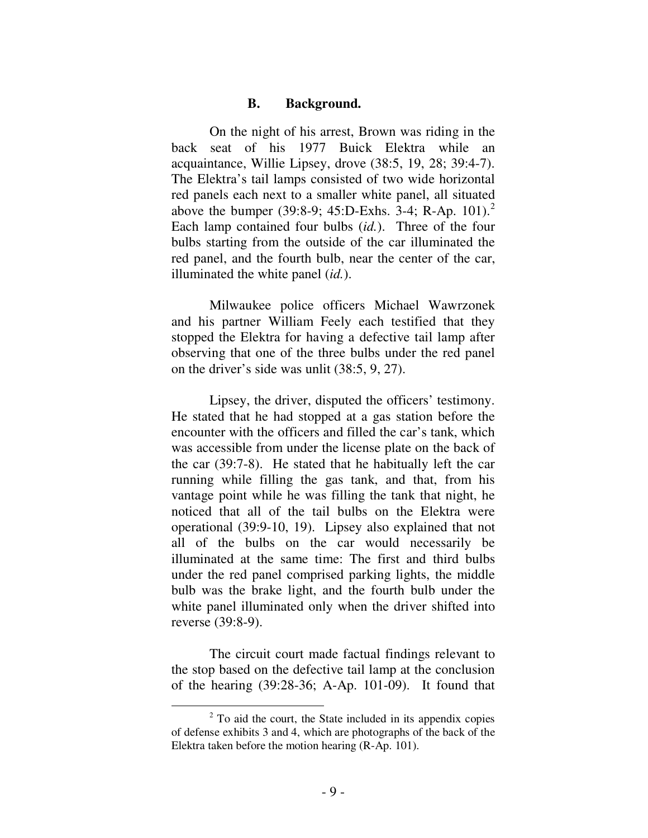#### **B. Background.**

On the night of his arrest, Brown was riding in the back seat of his 1977 Buick Elektra while an acquaintance, Willie Lipsey, drove (38:5, 19, 28; 39:4-7). The Elektra's tail lamps consisted of two wide horizontal red panels each next to a smaller white panel, all situated above the bumper (39:8-9; 45:D-Exhs. 3-4; R-Ap. 101).<sup>2</sup> Each lamp contained four bulbs (*id.*). Three of the four bulbs starting from the outside of the car illuminated the red panel, and the fourth bulb, near the center of the car, illuminated the white panel (*id.*).

Milwaukee police officers Michael Wawrzonek and his partner William Feely each testified that they stopped the Elektra for having a defective tail lamp after observing that one of the three bulbs under the red panel on the driver's side was unlit (38:5, 9, 27).

Lipsey, the driver, disputed the officers' testimony. He stated that he had stopped at a gas station before the encounter with the officers and filled the car's tank, which was accessible from under the license plate on the back of the car (39:7-8). He stated that he habitually left the car running while filling the gas tank, and that, from his vantage point while he was filling the tank that night, he noticed that all of the tail bulbs on the Elektra were operational (39:9-10, 19). Lipsey also explained that not all of the bulbs on the car would necessarily be illuminated at the same time: The first and third bulbs under the red panel comprised parking lights, the middle bulb was the brake light, and the fourth bulb under the white panel illuminated only when the driver shifted into reverse (39:8-9).

The circuit court made factual findings relevant to the stop based on the defective tail lamp at the conclusion of the hearing (39:28-36; A-Ap. 101-09). It found that

 $\overline{a}$ 

 $2^2$  To aid the court, the State included in its appendix copies of defense exhibits 3 and 4, which are photographs of the back of the Elektra taken before the motion hearing (R-Ap. 101).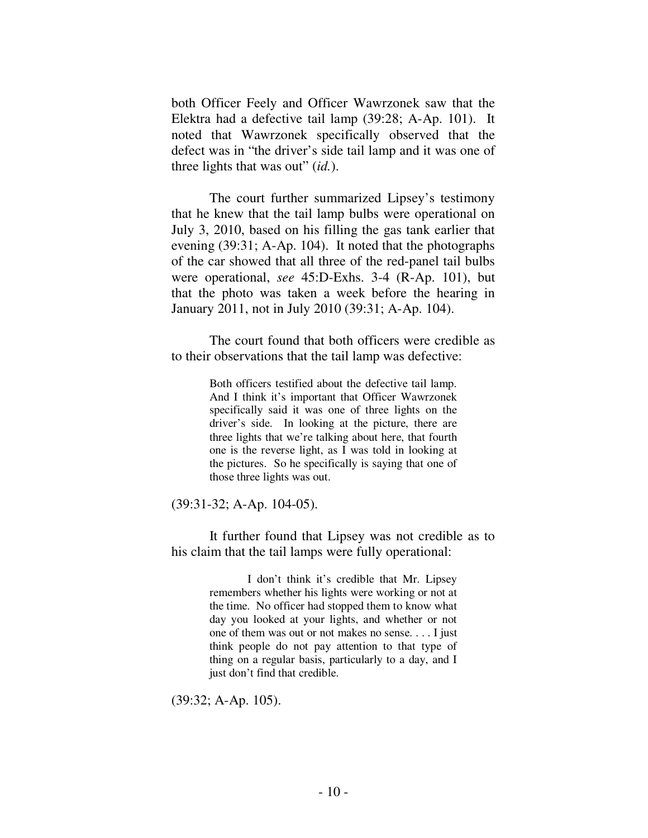both Officer Feely and Officer Wawrzonek saw that the Elektra had a defective tail lamp (39:28; A-Ap. 101). It noted that Wawrzonek specifically observed that the defect was in "the driver's side tail lamp and it was one of three lights that was out" (*id.*).

The court further summarized Lipsey's testimony that he knew that the tail lamp bulbs were operational on July 3, 2010, based on his filling the gas tank earlier that evening (39:31; A-Ap. 104). It noted that the photographs of the car showed that all three of the red-panel tail bulbs were operational, *see* 45:D-Exhs. 3-4 (R-Ap. 101), but that the photo was taken a week before the hearing in January 2011, not in July 2010 (39:31; A-Ap. 104).

The court found that both officers were credible as to their observations that the tail lamp was defective:

> Both officers testified about the defective tail lamp. And I think it's important that Officer Wawrzonek specifically said it was one of three lights on the driver's side. In looking at the picture, there are three lights that we're talking about here, that fourth one is the reverse light, as I was told in looking at the pictures. So he specifically is saying that one of those three lights was out.

(39:31-32; A-Ap. 104-05).

It further found that Lipsey was not credible as to his claim that the tail lamps were fully operational:

> I don't think it's credible that Mr. Lipsey remembers whether his lights were working or not at the time. No officer had stopped them to know what day you looked at your lights, and whether or not one of them was out or not makes no sense. . . . I just think people do not pay attention to that type of thing on a regular basis, particularly to a day, and I just don't find that credible.

(39:32; A-Ap. 105).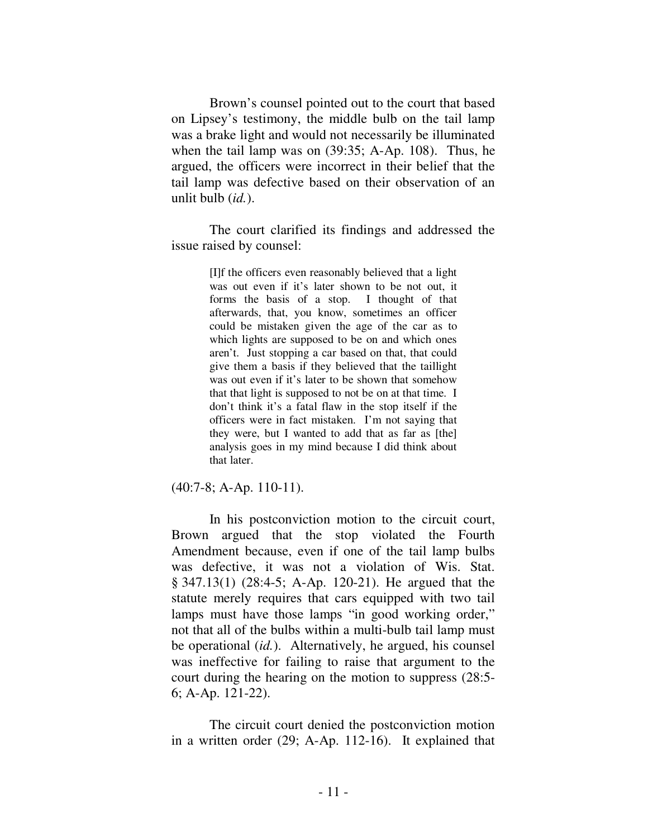Brown's counsel pointed out to the court that based on Lipsey's testimony, the middle bulb on the tail lamp was a brake light and would not necessarily be illuminated when the tail lamp was on (39:35; A-Ap. 108). Thus, he argued, the officers were incorrect in their belief that the tail lamp was defective based on their observation of an unlit bulb (*id.*).

The court clarified its findings and addressed the issue raised by counsel:

> [I]f the officers even reasonably believed that a light was out even if it's later shown to be not out, it forms the basis of a stop. I thought of that afterwards, that, you know, sometimes an officer could be mistaken given the age of the car as to which lights are supposed to be on and which ones aren't. Just stopping a car based on that, that could give them a basis if they believed that the taillight was out even if it's later to be shown that somehow that that light is supposed to not be on at that time. I don't think it's a fatal flaw in the stop itself if the officers were in fact mistaken. I'm not saying that they were, but I wanted to add that as far as [the] analysis goes in my mind because I did think about that later.

(40:7-8; A-Ap. 110-11).

In his postconviction motion to the circuit court, Brown argued that the stop violated the Fourth Amendment because, even if one of the tail lamp bulbs was defective, it was not a violation of Wis. Stat. § 347.13(1) (28:4-5; A-Ap. 120-21). He argued that the statute merely requires that cars equipped with two tail lamps must have those lamps "in good working order," not that all of the bulbs within a multi-bulb tail lamp must be operational (*id.*). Alternatively, he argued, his counsel was ineffective for failing to raise that argument to the court during the hearing on the motion to suppress (28:5- 6; A-Ap. 121-22).

The circuit court denied the postconviction motion in a written order (29; A-Ap. 112-16). It explained that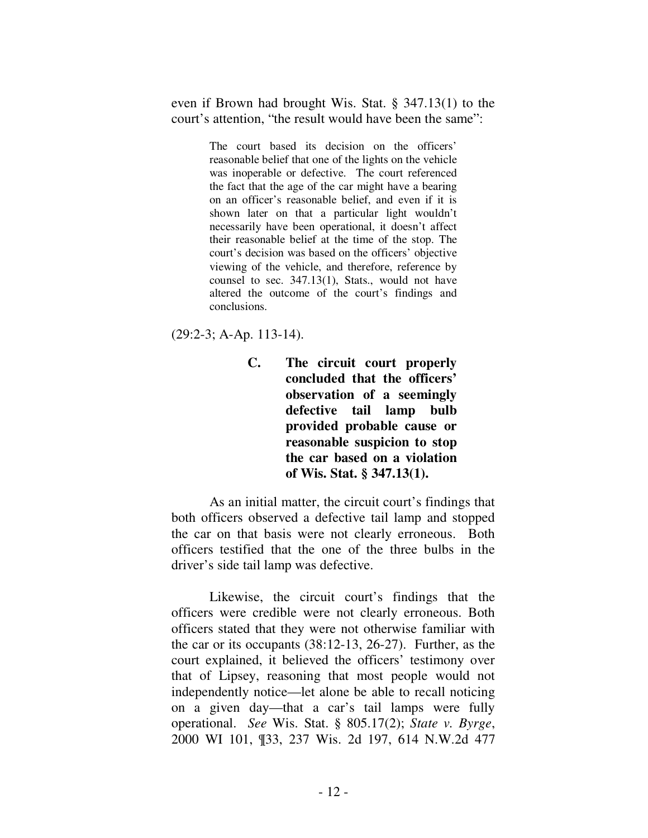even if Brown had brought Wis. Stat. § 347.13(1) to the court's attention, "the result would have been the same":

> The court based its decision on the officers' reasonable belief that one of the lights on the vehicle was inoperable or defective. The court referenced the fact that the age of the car might have a bearing on an officer's reasonable belief, and even if it is shown later on that a particular light wouldn't necessarily have been operational, it doesn't affect their reasonable belief at the time of the stop. The court's decision was based on the officers' objective viewing of the vehicle, and therefore, reference by counsel to sec. 347.13(1), Stats., would not have altered the outcome of the court's findings and conclusions.

(29:2-3; A-Ap. 113-14).

**C. The circuit court properly concluded that the officers' observation of a seemingly defective tail lamp bulb provided probable cause or reasonable suspicion to stop the car based on a violation of Wis. Stat. § 347.13(1).** 

As an initial matter, the circuit court's findings that both officers observed a defective tail lamp and stopped the car on that basis were not clearly erroneous. Both officers testified that the one of the three bulbs in the driver's side tail lamp was defective.

Likewise, the circuit court's findings that the officers were credible were not clearly erroneous. Both officers stated that they were not otherwise familiar with the car or its occupants (38:12-13, 26-27). Further, as the court explained, it believed the officers' testimony over that of Lipsey, reasoning that most people would not independently notice—let alone be able to recall noticing on a given day—that a car's tail lamps were fully operational. *See* Wis. Stat. § 805.17(2); *State v. Byrge*, 2000 WI 101, ¶33, 237 Wis. 2d 197, 614 N.W.2d 477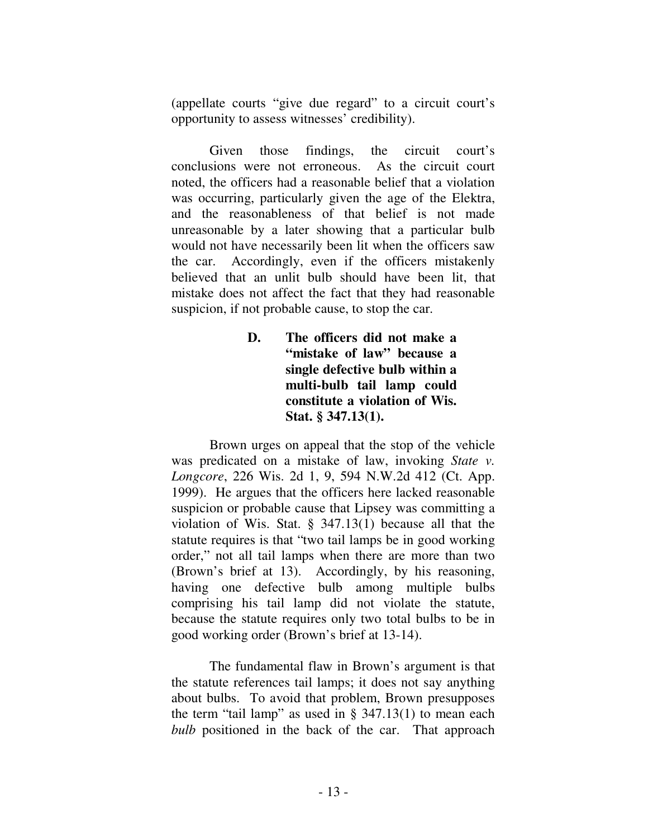(appellate courts "give due regard" to a circuit court's opportunity to assess witnesses' credibility).

Given those findings, the circuit court's conclusions were not erroneous. As the circuit court noted, the officers had a reasonable belief that a violation was occurring, particularly given the age of the Elektra, and the reasonableness of that belief is not made unreasonable by a later showing that a particular bulb would not have necessarily been lit when the officers saw the car. Accordingly, even if the officers mistakenly believed that an unlit bulb should have been lit, that mistake does not affect the fact that they had reasonable suspicion, if not probable cause, to stop the car.

> **D. The officers did not make a "mistake of law" because a single defective bulb within a multi-bulb tail lamp could constitute a violation of Wis. Stat. § 347.13(1).**

Brown urges on appeal that the stop of the vehicle was predicated on a mistake of law, invoking *State v. Longcore*, 226 Wis. 2d 1, 9, 594 N.W.2d 412 (Ct. App. 1999). He argues that the officers here lacked reasonable suspicion or probable cause that Lipsey was committing a violation of Wis. Stat. § 347.13(1) because all that the statute requires is that "two tail lamps be in good working order," not all tail lamps when there are more than two (Brown's brief at 13). Accordingly, by his reasoning, having one defective bulb among multiple bulbs comprising his tail lamp did not violate the statute, because the statute requires only two total bulbs to be in good working order (Brown's brief at 13-14).

The fundamental flaw in Brown's argument is that the statute references tail lamps; it does not say anything about bulbs. To avoid that problem, Brown presupposes the term "tail lamp" as used in  $\S$  347.13(1) to mean each *bulb* positioned in the back of the car. That approach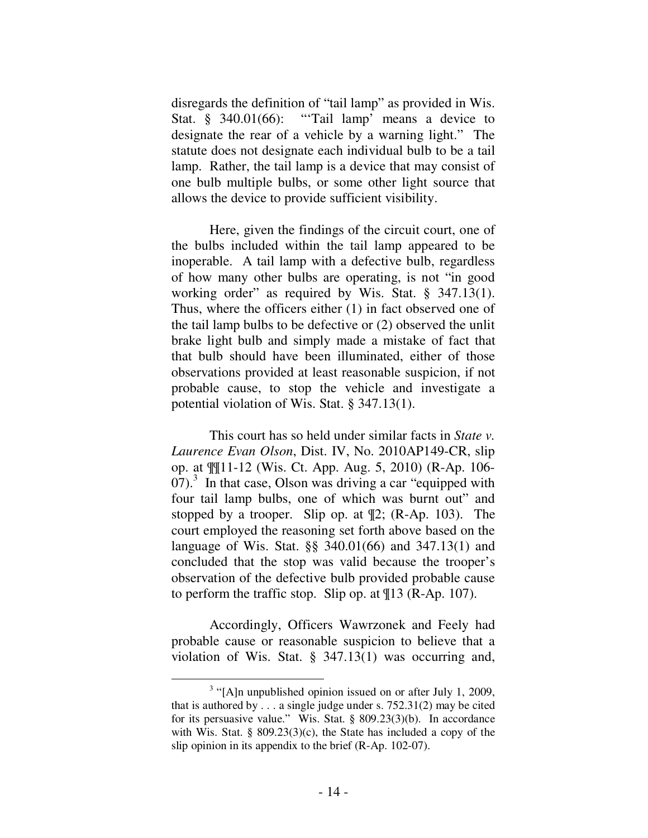disregards the definition of "tail lamp" as provided in Wis. Stat. § 340.01(66): "Tail lamp' means a device to designate the rear of a vehicle by a warning light." The statute does not designate each individual bulb to be a tail lamp. Rather, the tail lamp is a device that may consist of one bulb multiple bulbs, or some other light source that allows the device to provide sufficient visibility.

Here, given the findings of the circuit court, one of the bulbs included within the tail lamp appeared to be inoperable. A tail lamp with a defective bulb, regardless of how many other bulbs are operating, is not "in good working order" as required by Wis. Stat. § 347.13(1). Thus, where the officers either (1) in fact observed one of the tail lamp bulbs to be defective or (2) observed the unlit brake light bulb and simply made a mistake of fact that that bulb should have been illuminated, either of those observations provided at least reasonable suspicion, if not probable cause, to stop the vehicle and investigate a potential violation of Wis. Stat. § 347.13(1).

This court has so held under similar facts in *State v. Laurence Evan Olson*, Dist. IV, No. 2010AP149-CR, slip op. at ¶¶11-12 (Wis. Ct. App. Aug. 5, 2010) (R-Ap. 106-  $(07)<sup>3</sup>$  In that case, Olson was driving a car "equipped with four tail lamp bulbs, one of which was burnt out" and stopped by a trooper. Slip op. at ¶2; (R-Ap. 103). The court employed the reasoning set forth above based on the language of Wis. Stat. §§ 340.01(66) and 347.13(1) and concluded that the stop was valid because the trooper's observation of the defective bulb provided probable cause to perform the traffic stop. Slip op. at ¶13 (R-Ap. 107).

 Accordingly, Officers Wawrzonek and Feely had probable cause or reasonable suspicion to believe that a violation of Wis. Stat. § 347.13(1) was occurring and,

 $\overline{a}$ 

 $3$  "[A]n unpublished opinion issued on or after July 1, 2009, that is authored by  $\ldots$  a single judge under s. 752.31(2) may be cited for its persuasive value." Wis. Stat. § 809.23(3)(b). In accordance with Wis. Stat. § 809.23(3)(c), the State has included a copy of the slip opinion in its appendix to the brief (R-Ap. 102-07).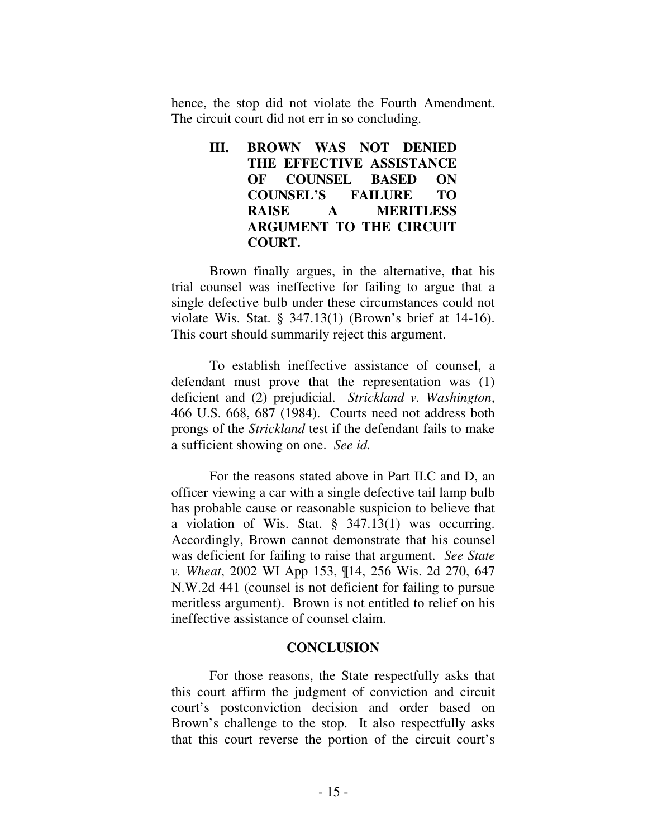hence, the stop did not violate the Fourth Amendment. The circuit court did not err in so concluding.

## **III. BROWN WAS NOT DENIED THE EFFECTIVE ASSISTANCE OF COUNSEL BASED ON COUNSEL'S FAILURE TO RAISE A MERITLESS ARGUMENT TO THE CIRCUIT COURT.**

Brown finally argues, in the alternative, that his trial counsel was ineffective for failing to argue that a single defective bulb under these circumstances could not violate Wis. Stat. § 347.13(1) (Brown's brief at 14-16). This court should summarily reject this argument.

To establish ineffective assistance of counsel, a defendant must prove that the representation was (1) deficient and (2) prejudicial. *Strickland v. Washington*, 466 U.S. 668, 687 (1984). Courts need not address both prongs of the *Strickland* test if the defendant fails to make a sufficient showing on one. *See id.*

 For the reasons stated above in Part II.C and D, an officer viewing a car with a single defective tail lamp bulb has probable cause or reasonable suspicion to believe that a violation of Wis. Stat. § 347.13(1) was occurring. Accordingly, Brown cannot demonstrate that his counsel was deficient for failing to raise that argument. *See State v. Wheat*, 2002 WI App 153, ¶14, 256 Wis. 2d 270, 647 N.W.2d 441 (counsel is not deficient for failing to pursue meritless argument). Brown is not entitled to relief on his ineffective assistance of counsel claim.

### **CONCLUSION**

 For those reasons, the State respectfully asks that this court affirm the judgment of conviction and circuit court's postconviction decision and order based on Brown's challenge to the stop. It also respectfully asks that this court reverse the portion of the circuit court's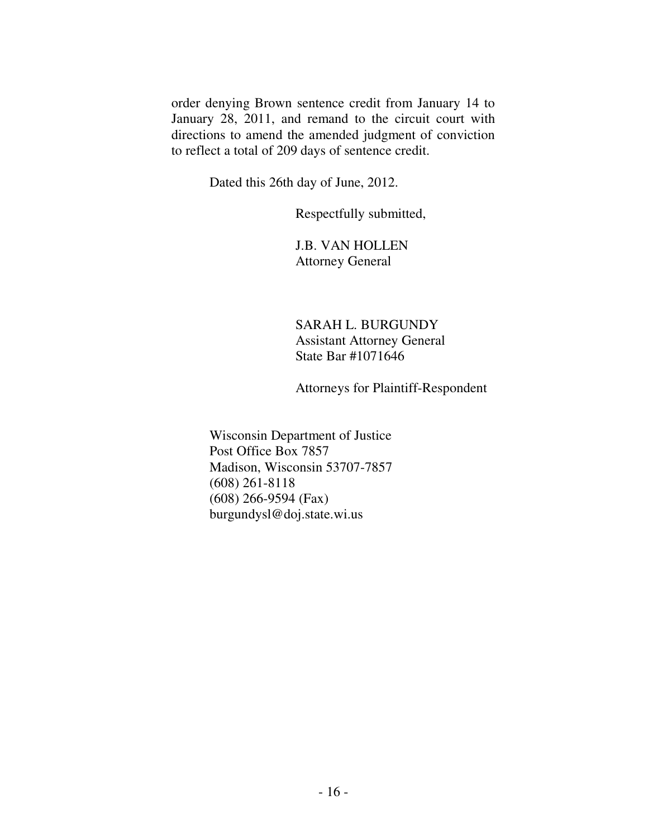order denying Brown sentence credit from January 14 to January 28, 2011, and remand to the circuit court with directions to amend the amended judgment of conviction to reflect a total of 209 days of sentence credit.

Dated this 26th day of June, 2012.

Respectfully submitted,

 J.B. VAN HOLLEN Attorney General

 SARAH L. BURGUNDY Assistant Attorney General State Bar #1071646

Attorneys for Plaintiff-Respondent

Wisconsin Department of Justice Post Office Box 7857 Madison, Wisconsin 53707-7857 (608) 261-8118 (608) 266-9594 (Fax) burgundysl@doj.state.wi.us